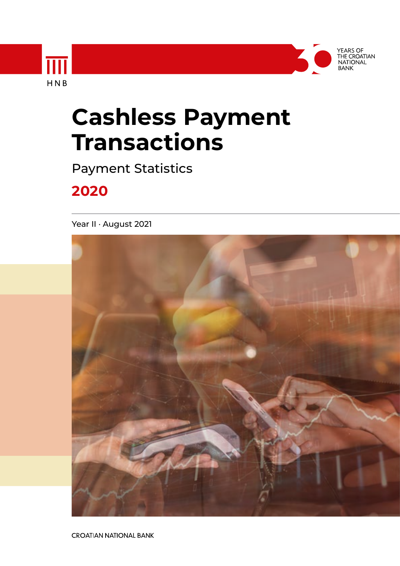

YEARS OF<br>THE CROATIAN<br>NATIONAL

# **Cashless Payment Transactions**

Payment Statistics

# **2020**

HNB

Year II · August 2021



**CROATIAN NATIONAL BANK**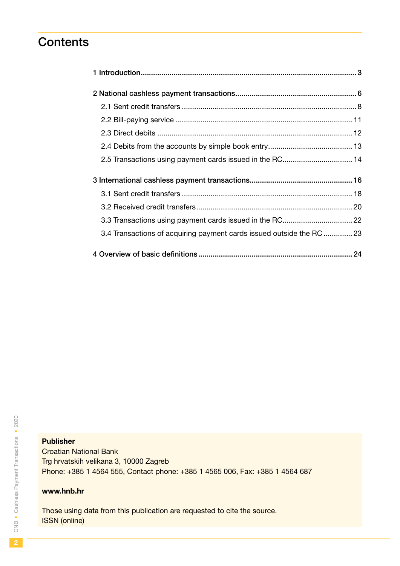# **Contents**

| 3.4 Transactions of acquiring payment cards issued outside the RC23 |  |
|---------------------------------------------------------------------|--|
|                                                                     |  |

### Publisher

Croatian National Bank Trg hrvatskih velikana 3, 10000 Zagreb Phone: +385 1 4564 555, Contact phone: +385 1 4565 006, Fax: +385 1 4564 687

#### www.hnb.hr

Those using data from this publication are requested to cite the source. ISSN (online)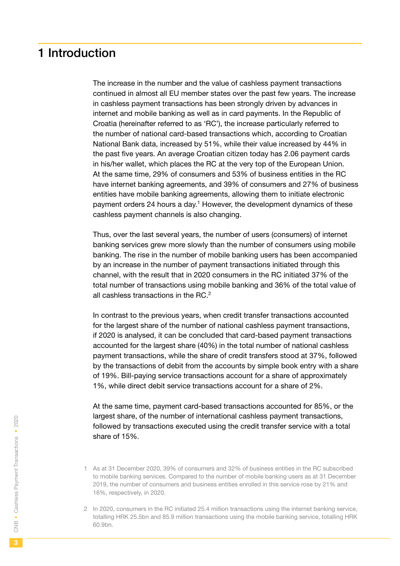# <span id="page-2-0"></span>1 Introduction

The increase in the number and the value of cashless payment transactions continued in almost all EU member states over the past few years. The increase in cashless payment transactions has been strongly driven by advances in internet and mobile banking as well as in card payments. In the Republic of Croatia (hereinafter referred to as 'RC'), the increase particularly referred to the number of national card-based transactions which, according to Croatian National Bank data, increased by 51%, while their value increased by 44% in the past five years. An average Croatian citizen today has 2.06 payment cards in his/her wallet, which places the RC at the very top of the European Union. At the same time, 29% of consumers and 53% of business entities in the RC have internet banking agreements, and 39% of consumers and 27% of business entities have mobile banking agreements, allowing them to initiate electronic payment orders 24 hours a day.<sup>1</sup> However, the development dynamics of these cashless payment channels is also changing.

Thus, over the last several years, the number of users (consumers) of internet banking services grew more slowly than the number of consumers using mobile banking. The rise in the number of mobile banking users has been accompanied by an increase in the number of payment transactions initiated through this channel, with the result that in 2020 consumers in the RC initiated 37% of the total number of transactions using mobile banking and 36% of the total value of all cashless transactions in the RC.2

In contrast to the previous years, when credit transfer transactions accounted for the largest share of the number of national cashless payment transactions, if 2020 is analysed, it can be concluded that card-based payment transactions accounted for the largest share (40%) in the total number of national cashless payment transactions, while the share of credit transfers stood at 37%, followed by the transactions of debit from the accounts by simple book entry with a share of 19%. Bill-paying service transactions account for a share of approximately 1%, while direct debit service transactions account for a share of 2%.

At the same time, payment card-based transactions accounted for 85%, or the largest share, of the number of international cashless payment transactions, followed by transactions executed using the credit transfer service with a total share of 15%.

<sup>1</sup> As at 31 December 2020, 39% of consumers and 32% of business entities in the RC subscribed to mobile banking services. Compared to the number of mobile banking users as at 31 December 2019, the number of consumers and business entities enrolled in this service rose by 21% and 16%, respectively, in 2020.

<sup>2</sup> In 2020, consumers in the RC initiated 25.4 million transactions using the internet banking service, totalling HRK 25.5bn and 85.9 million transactions using the mobile banking service, totalling HRK 60.9bn.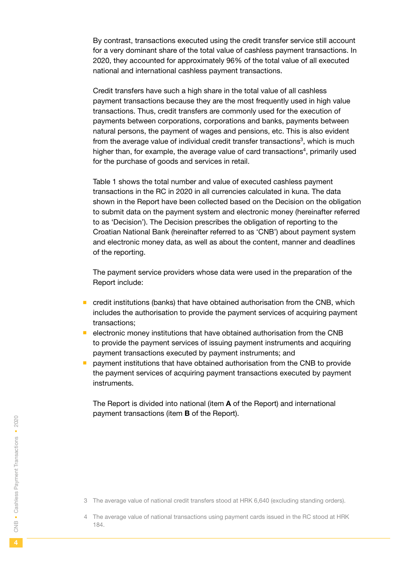By contrast, transactions executed using the credit transfer service still account for a very dominant share of the total value of cashless payment transactions. In 2020, they accounted for approximately 96% of the total value of all executed national and international cashless payment transactions.

Credit transfers have such a high share in the total value of all cashless payment transactions because they are the most frequently used in high value transactions. Thus, credit transfers are commonly used for the execution of payments between corporations, corporations and banks, payments between natural persons, the payment of wages and pensions, etc. This is also evident from the average value of individual credit transfer transactions<sup>3</sup>, which is much higher than, for example, the average value of card transactions<sup>4</sup>, primarily used for the purchase of goods and services in retail.

Table 1 shows the total number and value of executed cashless payment transactions in the RC in 2020 in all currencies calculated in kuna. The data shown in the Report have been collected based on the Decision on the obligation to submit data on the payment system and electronic money (hereinafter referred to as 'Decision'). The Decision prescribes the obligation of reporting to the Croatian National Bank (hereinafter referred to as 'CNB') about payment system and electronic money data, as well as about the content, manner and deadlines of the reporting.

The payment service providers whose data were used in the preparation of the Report include:

- $\blacksquare$  credit institutions (banks) that have obtained authorisation from the CNB, which includes the authorisation to provide the payment services of acquiring payment transactions;
- $\blacksquare$  electronic money institutions that have obtained authorisation from the CNB to provide the payment services of issuing payment instruments and acquiring payment transactions executed by payment instruments; and
- **P** payment institutions that have obtained authorisation from the CNB to provide the payment services of acquiring payment transactions executed by payment instruments.

The Report is divided into national (item A of the Report) and international payment transactions (item B of the Report).

 $\overline{4}$ 

<sup>3</sup> The average value of national credit transfers stood at HRK 6,640 (excluding standing orders).

<sup>4</sup> The average value of national transactions using payment cards issued in the RC stood at HRK 184.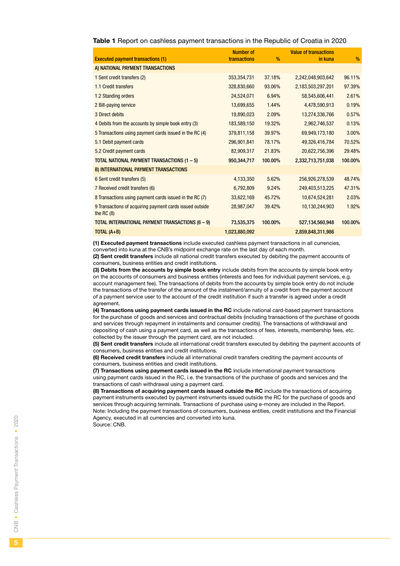|  |  |  | Table 1 Report on cashless payment transactions in the Republic of Croatia in 2020 |  |  |  |  |  |
|--|--|--|------------------------------------------------------------------------------------|--|--|--|--|--|
|--|--|--|------------------------------------------------------------------------------------|--|--|--|--|--|

|                                                                          | <b>Number of</b> |               | <b>Value of transactions</b> |         |
|--------------------------------------------------------------------------|------------------|---------------|------------------------------|---------|
| <b>Executed payment transactions (1)</b>                                 | transactions     | $\frac{9}{6}$ | in kuna                      | $\%$    |
| A) NATIONAL PAYMENT TRANSACTIONS                                         |                  |               |                              |         |
| 1 Sent credit transfers (2)                                              | 353,354,731      | 37.18%        | 2,242,048,903,642            | 96.11%  |
| 1.1 Credit transfers                                                     | 328,830,660      | 93.06%        | 2,183,503,297,201            | 97.39%  |
| 1.2 Standing orders                                                      | 24,524,071       | 6.94%         | 58,545,606,441               | 2.61%   |
| 2 Bill-paying service                                                    | 13,699,655       | 1.44%         | 4,478,590,913                | 0.19%   |
| 3 Direct debits                                                          | 19,890,023       | 2.09%         | 13,274,336,766               | 0.57%   |
| 4 Debits from the accounts by simple book entry (3)                      | 183,589,150      | 19.32%        | 2,962,746,537                | 0.13%   |
| 5 Transactions using payment cards issued in the RC (4)                  | 379,811,158      | 39.97%        | 69,949,173,180               | 3.00%   |
| 5.1 Debit payment cards                                                  | 296,901,841      | 78.17%        | 49,326,416,784               | 70.52%  |
| 5.2 Credit payment cards                                                 | 82,909,317       | 21.83%        | 20,622,756,396               | 29.48%  |
| TOTAL NATIONAL PAYMENT TRANSACTIONS (1-5)                                | 950,344,717      | 100.00%       | 2,332,713,751,038            | 100.00% |
| B) INTERNATIONAL PAYMENT TRANSACTIONS                                    |                  |               |                              |         |
| 6 Sent credit transfers (5)                                              | 4,133,350        | 5.62%         | 256,926,278,539              | 48.74%  |
| 7 Received credit transfers (6)                                          | 6,792,809        | 9.24%         | 249,403,513,225              | 47.31%  |
| 8 Transactions using payment cards issued in the RC (7)                  | 33,622,169       | 45.72%        | 10,674,524,281               | 2.03%   |
| 9 Transactions of acquiring payment cards issued outside<br>the RC $(8)$ | 28,987,047       | 39.42%        | 10,130,244,903               | 1.92%   |
| TOTAL INTERNATIONAL PAYMENT TRANSACTIONS (6 - 9)                         | 73,535,375       | 100.00%       | 527,134,560,948              | 100.00% |
| TOTAL $(A+B)$                                                            | 1,023,880,092    |               | 2,859,848,311,986            |         |

(1) Executed payment transactions include executed cashless payment transactions in all currencies, converted into kuna at the CNB's midpoint exchange rate on the last day of each month.

(2) Sent credit transfers include all national credit transfers executed by debiting the payment accounts of consumers, business entities and credit institutions.

(3) Debits from the accounts by simple book entry include debits from the accounts by simple book entry on the accounts of consumers and business entities (interests and fees for individual payment services, e.g. account management fee). The transactions of debits from the accounts by simple book entry do not include the transactions of the transfer of the amount of the instalment/annuity of a credit from the payment account of a payment service user to the account of the credit institution if such a transfer is agreed under a credit agreement.

(4) Transactions using payment cards issued in the RC include national card-based payment transactions for the purchase of goods and services and contractual debits (including transactions of the purchase of goods and services through repayment in instalments and consumer credits). The transactions of withdrawal and depositing of cash using a payment card, as well as the transactions of fees, interests, membership fees, etc. collected by the issuer through the payment card, are not included.

(5) Sent credit transfers include all international credit transfers executed by debiting the payment accounts of consumers, business entities and credit institutions.

(6) Received credit transfers include all international credit transfers crediting the payment accounts of consumers, business entities and credit institutions.

(7) Transactions using payment cards issued in the RC include international payment transactions using payment cards issued in the RC, i.e. the transactions of the purchase of goods and services and the transactions of cash withdrawal using a payment card.

(8) Transactions of acquiring payment cards issued outside the RC include the transactions of acquiring payment instruments executed by payment instruments issued outside the RC for the purchase of goods and services through acquiring terminals. Transactions of purchase using e-money are included in the Report. Note: Including the payment transactions of consumers, business entities, credit institutions and the Financial Agency, executed in all currencies and converted into kuna.

Source: CNB.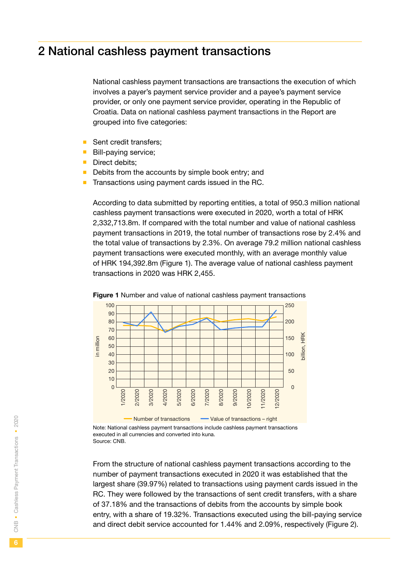# <span id="page-5-0"></span>2 National cashless payment transactions

National cashless payment transactions are transactions the execution of which involves a payer's payment service provider and a payee's payment service provider, or only one payment service provider, operating in the Republic of Croatia. Data on national cashless payment transactions in the Report are grouped into five categories:

- Sent credit transfers;
- **Bill-paying service:**
- Direct debits:
- $\blacksquare$  Debits from the accounts by simple book entry; and
- $\blacksquare$  Transactions using payment cards issued in the RC.

According to data submitted by reporting entities, a total of 950.3 million national cashless payment transactions were executed in 2020, worth a total of HRK 2,332,713.8m. If compared with the total number and value of national cashless payment transactions in 2019, the total number of transactions rose by 2.4% and the total value of transactions by 2.3%. On average 79.2 million national cashless payment transactions were executed monthly, with an average monthly value of HRK 194,392.8m (Figure 1). The average value of national cashless payment transactions in 2020 was HRK 2,455.



Figure 1 Number and value of national cashless payment transactions

Note: National cashless payment transactions include cashless payment transactions executed in all currencies and converted into kuna. Source: CNB.

From the structure of national cashless payment transactions according to the number of payment transactions executed in 2020 it was established that the largest share (39.97%) related to transactions using payment cards issued in the RC. They were followed by the transactions of sent credit transfers, with a share of 37.18% and the transactions of debits from the accounts by simple book entry, with a share of 19.32%. Transactions executed using the bill-paying service and direct debit service accounted for 1.44% and 2.09%, respectively (Figure 2).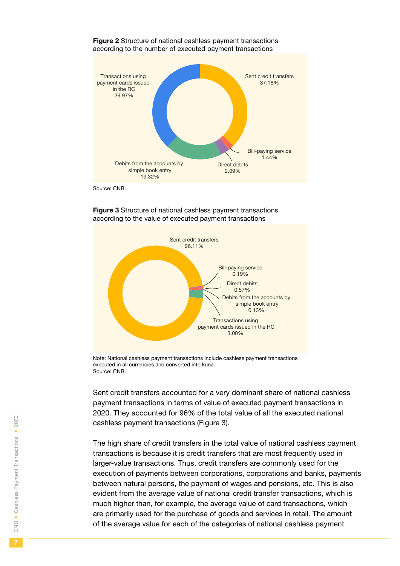

#### Figure 2 Structure of national cashless payment transactions according to the number of executed payment transactions

Source: CNB.



#### Figure 3 Structure of national cashless payment transactions according to the value of executed payment transactions

Note: National cashless payment transactions include cashless payment transactions executed in all currencies and converted into kuna. Source: CNB.

Sent credit transfers accounted for a very dominant share of national cashless payment transactions in terms of value of executed payment transactions in 2020. They accounted for 96% of the total value of all the executed national cashless payment transactions (Figure 3).

The high share of credit transfers in the total value of national cashless payment transactions is because it is credit transfers that are most frequently used in larger-value transactions. Thus, credit transfers are commonly used for the execution of payments between corporations, corporations and banks, payments between natural persons, the payment of wages and pensions, etc. This is also evident from the average value of national credit transfer transactions, which is much higher than, for example, the average value of card transactions, which are primarily used for the purchase of goods and services in retail. The amount of the average value for each of the categories of national cashless payment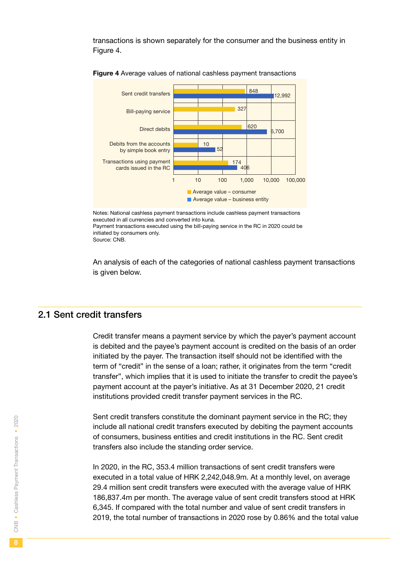<span id="page-7-0"></span>transactions is shown separately for the consumer and the business entity in Figure 4.



Figure 4 Average values of national cashless payment transactions

Notes: National cashless payment transactions include cashless payment transactions executed in all currencies and converted into kuna. Payment transactions executed using the bill-paying service in the RC in 2020 could be initiated by consumers only. Source: CNB.

An analysis of each of the categories of national cashless payment transactions is given below.

#### 2.1 Sent credit transfers

Credit transfer means a payment service by which the payer's payment account is debited and the payee's payment account is credited on the basis of an order initiated by the payer. The transaction itself should not be identified with the term of "credit" in the sense of a loan; rather, it originates from the term "credit transfer", which implies that it is used to initiate the transfer to credit the payee's payment account at the payer's initiative. As at 31 December 2020, 21 credit institutions provided credit transfer payment services in the RC.

Sent credit transfers constitute the dominant payment service in the RC; they include all national credit transfers executed by debiting the payment accounts of consumers, business entities and credit institutions in the RC. Sent credit transfers also include the standing order service.

In 2020, in the RC, 353.4 million transactions of sent credit transfers were executed in a total value of HRK 2,242,048.9m. At a monthly level, on average 29.4 million sent credit transfers were executed with the average value of HRK 186,837.4m per month. The average value of sent credit transfers stood at HRK 6,345. If compared with the total number and value of sent credit transfers in 2019, the total number of transactions in 2020 rose by 0.86% and the total value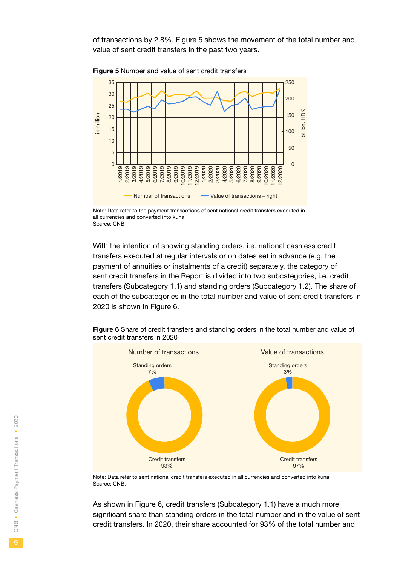of transactions by 2.8%. Figure 5 shows the movement of the total number and value of sent credit transfers in the past two years.



**Figure 5** Number and value of sent credit transfers

Note: Data refer to the payment transactions of sent national credit transfers executed in all currencies and converted into kuna. Source: CNB

With the intention of showing standing orders, i.e. national cashless credit transfers executed at regular intervals or on dates set in advance (e.g. the payment of annuities or instalments of a credit) separately, the category of sent credit transfers in the Report is divided into two subcategories, i.e. credit transfers (Subcategory 1.1) and standing orders (Subcategory 1.2). The share of each of the subcategories in the total number and value of sent credit transfers in 2020 is shown in Figure 6.



Figure 6 Share of credit transfers and standing orders in the total number and value of sent credit transfers in 2020

Note: Data refer to sent national credit transfers executed in all currencies and converted into kuna. Source: CNB.

As shown in Figure 6, credit transfers (Subcategory 1.1) have a much more significant share than standing orders in the total number and in the value of sent credit transfers. In 2020, their share accounted for 93% of the total number and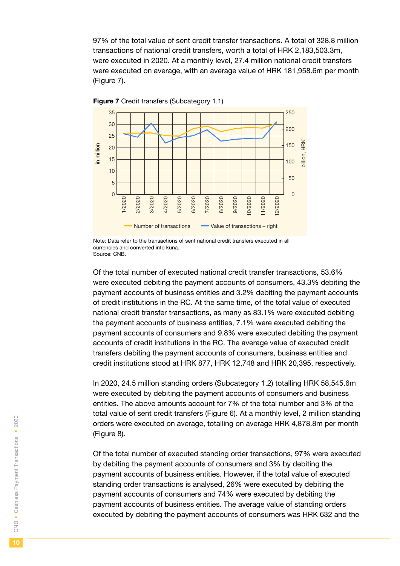97% of the total value of sent credit transfer transactions. A total of 328.8 million transactions of national credit transfers, worth a total of HRK 2,183,503.3m, were executed in 2020. At a monthly level, 27.4 million national credit transfers were executed on average, with an average value of HRK 181,958.6m per month (Figure 7).



**Figure 7** Credit transfers (Subcategory 1.1)

Note: Data refer to the transactions of sent national credit transfers executed in all currencies and converted into kuna. Source: CNB.

Of the total number of executed national credit transfer transactions, 53.6% were executed debiting the payment accounts of consumers, 43.3% debiting the payment accounts of business entities and 3.2% debiting the payment accounts of credit institutions in the RC. At the same time, of the total value of executed national credit transfer transactions, as many as 83.1% were executed debiting the payment accounts of business entities, 7.1% were executed debiting the payment accounts of consumers and 9.8% were executed debiting the payment accounts of credit institutions in the RC. The average value of executed credit transfers debiting the payment accounts of consumers, business entities and credit institutions stood at HRK 877, HRK 12,748 and HRK 20,395, respectively.

In 2020, 24.5 million standing orders (Subcategory 1.2) totalling HRK 58,545.6m were executed by debiting the payment accounts of consumers and business entities. The above amounts account for 7% of the total number and 3% of the total value of sent credit transfers (Figure 6). At a monthly level, 2 million standing orders were executed on average, totalling on average HRK 4,878.8m per month (Figure 8).

Of the total number of executed standing order transactions, 97% were executed by debiting the payment accounts of consumers and 3% by debiting the payment accounts of business entities. However, if the total value of executed standing order transactions is analysed, 26% were executed by debiting the payment accounts of consumers and 74% were executed by debiting the payment accounts of business entities. The average value of standing orders executed by debiting the payment accounts of consumers was HRK 632 and the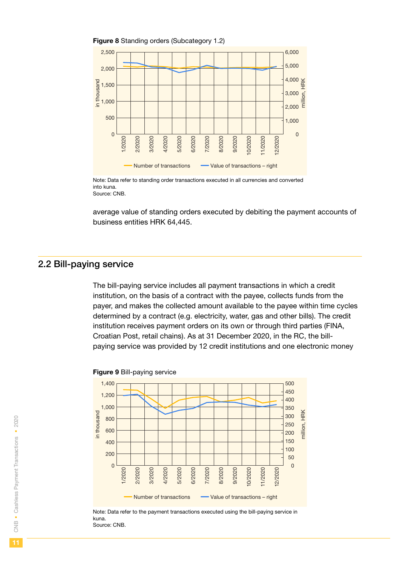<span id="page-10-0"></span>

Note: Data refer to standing order transactions executed in all currencies and converted into kuna. Source: CNB.

average value of standing orders executed by debiting the payment accounts of business entities HRK 64,445.

#### 2.2 Bill-paying service

The bill-paying service includes all payment transactions in which a credit institution, on the basis of a contract with the payee, collects funds from the payer, and makes the collected amount available to the payee within time cycles determined by a contract (e.g. electricity, water, gas and other bills). The credit institution receives payment orders on its own or through third parties (FINA, Croatian Post, retail chains). As at 31 December 2020, in the RC, the billpaying service was provided by 12 credit institutions and one electronic money



#### Figure 9 Bill-paying service

Note: Data refer to the payment transactions executed using the bill-paying service in kuna. Source: CNB.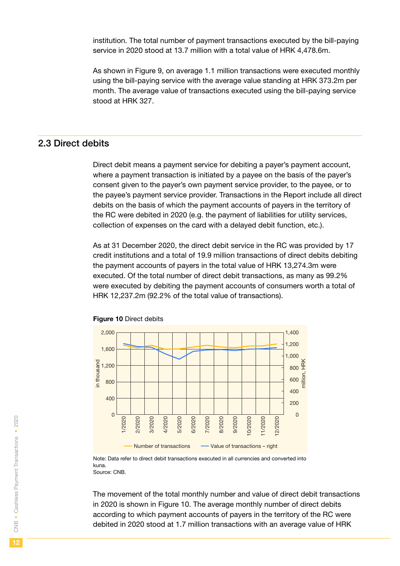<span id="page-11-0"></span>institution. The total number of payment transactions executed by the bill-paying service in 2020 stood at 13.7 million with a total value of HRK 4,478.6m.

As shown in Figure 9, on average 1.1 million transactions were executed monthly using the bill-paying service with the average value standing at HRK 373.2m per month. The average value of transactions executed using the bill-paying service stood at HRK 327.

## 2.3 Direct debits

Direct debit means a payment service for debiting a payer's payment account, where a payment transaction is initiated by a payee on the basis of the payer's consent given to the payer's own payment service provider, to the payee, or to the payee's payment service provider. Transactions in the Report include all direct debits on the basis of which the payment accounts of payers in the territory of the RC were debited in 2020 (e.g. the payment of liabilities for utility services, collection of expenses on the card with a delayed debit function, etc.).

As at 31 December 2020, the direct debit service in the RC was provided by 17 credit institutions and a total of 19.9 million transactions of direct debits debiting the payment accounts of payers in the total value of HRK 13,274.3m were executed. Of the total number of direct debit transactions, as many as 99.2% were executed by debiting the payment accounts of consumers worth a total of HRK 12,237.2m (92.2% of the total value of transactions).





Note: Data refer to direct debit transactions executed in all currencies and converted into kuna. Source: CNB.

The movement of the total monthly number and value of direct debit transactions in 2020 is shown in Figure 10. The average monthly number of direct debits according to which payment accounts of payers in the territory of the RC were debited in 2020 stood at 1.7 million transactions with an average value of HRK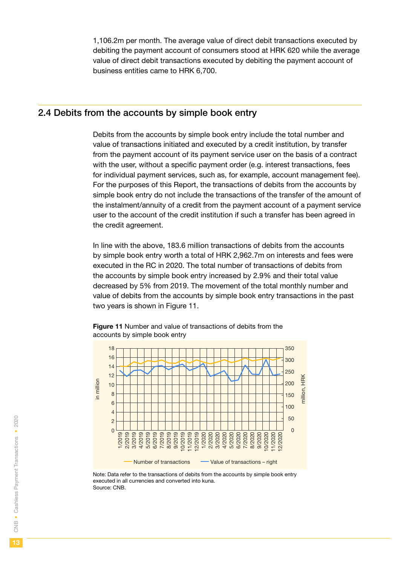<span id="page-12-0"></span>1,106.2m per month. The average value of direct debit transactions executed by debiting the payment account of consumers stood at HRK 620 while the average value of direct debit transactions executed by debiting the payment account of business entities came to HRK 6,700.

#### 2.4 Debits from the accounts by simple book entry

Debits from the accounts by simple book entry include the total number and value of transactions initiated and executed by a credit institution, by transfer from the payment account of its payment service user on the basis of a contract with the user, without a specific payment order (e.g. interest transactions, fees for individual payment services, such as, for example, account management fee). For the purposes of this Report, the transactions of debits from the accounts by simple book entry do not include the transactions of the transfer of the amount of the instalment/annuity of a credit from the payment account of a payment service user to the account of the credit institution if such a transfer has been agreed in the credit agreement.

In line with the above, 183.6 million transactions of debits from the accounts by simple book entry worth a total of HRK 2,962.7m on interests and fees were executed in the RC in 2020. The total number of transactions of debits from the accounts by simple book entry increased by 2.9% and their total value decreased by 5% from 2019. The movement of the total monthly number and value of debits from the accounts by simple book entry transactions in the past two years is shown in Figure 11.

Figure 11 Number and value of transactions of debits from the accounts by simple book entry



Note: Data refer to the transactions of debits from the accounts by simple book entry executed in all currencies and converted into kuna. Source: CNB.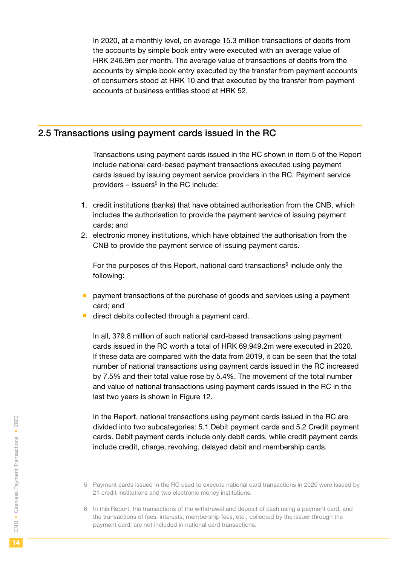<span id="page-13-0"></span>In 2020, at a monthly level, on average 15.3 million transactions of debits from the accounts by simple book entry were executed with an average value of HRK 246.9m per month. The average value of transactions of debits from the accounts by simple book entry executed by the transfer from payment accounts of consumers stood at HRK 10 and that executed by the transfer from payment accounts of business entities stood at HRK 52.

## 2.5 Transactions using payment cards issued in the RC

Transactions using payment cards issued in the RC shown in item 5 of the Report include national card-based payment transactions executed using payment cards issued by issuing payment service providers in the RC. Payment service providers  $-$  issuers<sup>5</sup> in the RC include:

- 1. credit institutions (banks) that have obtained authorisation from the CNB, which includes the authorisation to provide the payment service of issuing payment cards; and
- 2. electronic money institutions, which have obtained the authorisation from the CNB to provide the payment service of issuing payment cards.

For the purposes of this Report, national card transactions<sup>6</sup> include only the following:

- **payment transactions of the purchase of goods and services using a payment** card; and
- direct debits collected through a payment card.

In all, 379.8 million of such national card-based transactions using payment cards issued in the RC worth a total of HRK 69,949.2m were executed in 2020. If these data are compared with the data from 2019, it can be seen that the total number of national transactions using payment cards issued in the RC increased by 7.5% and their total value rose by 5.4%. The movement of the total number and value of national transactions using payment cards issued in the RC in the last two years is shown in Figure 12.

In the Report, national transactions using payment cards issued in the RC are divided into two subcategories: 5.1 Debit payment cards and 5.2 Credit payment cards. Debit payment cards include only debit cards, while credit payment cards include credit, charge, revolving, delayed debit and membership cards.

- 5 Payment cards issued in the RC used to execute national card transactions in 2020 were issued by 21 credit institutions and two electronic money institutions.
- 6 In this Report, the transactions of the withdrawal and deposit of cash using a payment card, and the transactions of fees, interests, membership fees, etc., collected by the issuer through the payment card, are not included in national card transactions.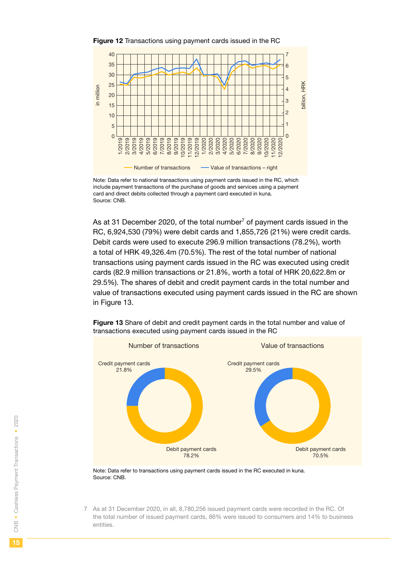

Figure 12 Transactions using payment cards issued in the RC

Note: Data refer to national transactions using payment cards issued in the RC, which include payment transactions of the purchase of goods and services using a payment card and direct debits collected through a payment card executed in kuna. Source: CNB.

As at 31 December 2020, of the total number<sup>7</sup> of payment cards issued in the RC, 6,924,530 (79%) were debit cards and 1,855,726 (21%) were credit cards. Debit cards were used to execute 296.9 million transactions (78.2%), worth a total of HRK 49,326.4m (70.5%). The rest of the total number of national transactions using payment cards issued in the RC was executed using credit cards (82.9 million transactions or 21.8%, worth a total of HRK 20,622.8m or 29.5%). The shares of debit and credit payment cards in the total number and value of transactions executed using payment cards issued in the RC are shown in Figure 13.



Figure 13 Share of debit and credit payment cards in the total number and value of transactions executed using payment cards issued in the RC

Note: Data refer to transactions using payment cards issued in the RC executed in kuna. Source: CNB.

7 As at 31 December 2020, in all, 8,780,256 issued payment cards were recorded in the RC. Of the total number of issued payment cards, 86% were issued to consumers and 14% to business entities.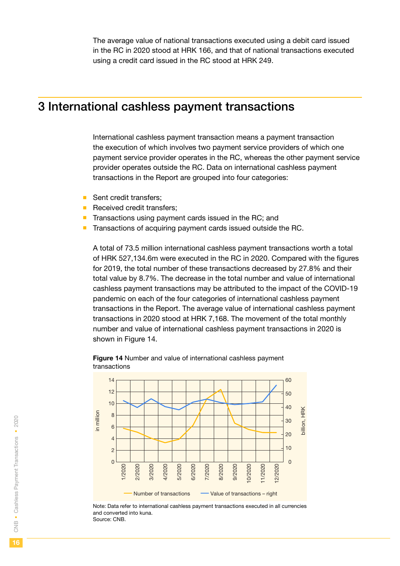<span id="page-15-0"></span>The average value of national transactions executed using a debit card issued in the RC in 2020 stood at HRK 166, and that of national transactions executed using a credit card issued in the RC stood at HRK 249.

## 3 International cashless payment transactions

International cashless payment transaction means a payment transaction the execution of which involves two payment service providers of which one payment service provider operates in the RC, whereas the other payment service provider operates outside the RC. Data on international cashless payment transactions in the Report are grouped into four categories:

- Sent credit transfers:
- Received credit transfers;
- $\blacksquare$  Transactions using payment cards issued in the RC; and
- Transactions of acquiring payment cards issued outside the RC.

A total of 73.5 million international cashless payment transactions worth a total of HRK 527,134.6m were executed in the RC in 2020. Compared with the figures for 2019, the total number of these transactions decreased by 27.8% and their total value by 8.7%. The decrease in the total number and value of international cashless payment transactions may be attributed to the impact of the COVID-19 pandemic on each of the four categories of international cashless payment transactions in the Report. The average value of international cashless payment transactions in 2020 stood at HRK 7,168. The movement of the total monthly number and value of international cashless payment transactions in 2020 is shown in Figure 14.

Figure 14 Number and value of international cashless payment transactions



Note: Data refer to international cashless payment transactions executed in all currencies and converted into kuna.

Source: CNB.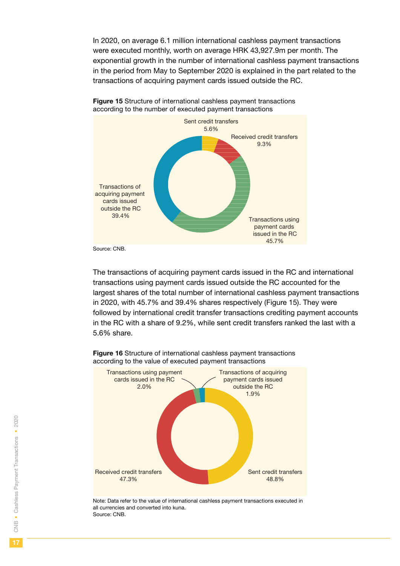In 2020, on average 6.1 million international cashless payment transactions were executed monthly, worth on average HRK 43,927.9m per month. The exponential growth in the number of international cashless payment transactions in the period from May to September 2020 is explained in the part related to the transactions of acquiring payment cards issued outside the RC.



**Figure 15** Structure of international cashless payment transactions according to the number of executed payment transactions

Source: CNB.

The transactions of acquiring payment cards issued in the RC and international transactions using payment cards issued outside the RC accounted for the largest shares of the total number of international cashless payment transactions in 2020, with 45.7% and 39.4% shares respectively (Figure 15). They were followed by international credit transfer transactions crediting payment accounts in the RC with a share of 9.2%, while sent credit transfers ranked the last with a 5.6% share.



Figure 16 Structure of international cashless payment transactions according to the value of executed payment transactions

Note: Data refer to the value of international cashless payment transactions executed in all currencies and converted into kuna. Source: CNB.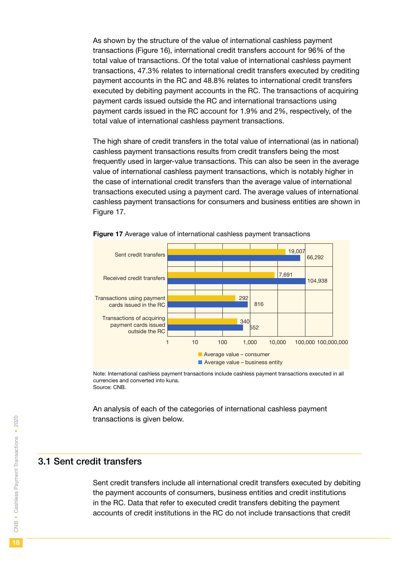<span id="page-17-0"></span>As shown by the structure of the value of international cashless payment transactions (Figure 16), international credit transfers account for 96% of the total value of transactions. Of the total value of international cashless payment transactions, 47.3% relates to international credit transfers executed by crediting payment accounts in the RC and 48.8% relates to international credit transfers executed by debiting payment accounts in the RC. The transactions of acquiring payment cards issued outside the RC and international transactions using payment cards issued in the RC account for 1.9% and 2%, respectively, of the total value of international cashless payment transactions.

The high share of credit transfers in the total value of international (as in national) cashless payment transactions results from credit transfers being the most frequently used in larger-value transactions. This can also be seen in the average value of international cashless payment transactions, which is notably higher in the case of international credit transfers than the average value of international transactions executed using a payment card. The average values of international cashless payment transactions for consumers and business entities are shown in Figure 17.



Figure 17 Average value of international cashless payment transactions

Note: International cashless payment transactions include cashless payment transactions executed in all currencies and converted into kuna. Source: CNB.

An analysis of each of the categories of international cashless payment transactions is given below.

### 3.1 Sent credit transfers

Sent credit transfers include all international credit transfers executed by debiting the payment accounts of consumers, business entities and credit institutions in the RC. Data that refer to executed credit transfers debiting the payment accounts of credit institutions in the RC do not include transactions that credit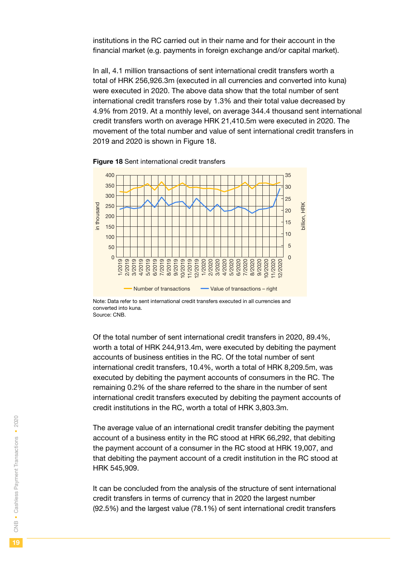institutions in the RC carried out in their name and for their account in the financial market (e.g. payments in foreign exchange and/or capital market).

In all, 4.1 million transactions of sent international credit transfers worth a total of HRK 256,926.3m (executed in all currencies and converted into kuna) were executed in 2020. The above data show that the total number of sent international credit transfers rose by 1.3% and their total value decreased by 4.9% from 2019. At a monthly level, on average 344.4 thousand sent international credit transfers worth on average HRK 21,410.5m were executed in 2020. The movement of the total number and value of sent international credit transfers in 2019 and 2020 is shown in Figure 18.



**Figure 18** Sent international credit transfers

Note: Data refer to sent international credit transfers executed in all currencies and converted into kuna. Source: CNB.

Of the total number of sent international credit transfers in 2020, 89.4%, worth a total of HRK 244,913.4m, were executed by debiting the payment accounts of business entities in the RC. Of the total number of sent international credit transfers, 10.4%, worth a total of HRK 8,209.5m, was executed by debiting the payment accounts of consumers in the RC. The remaining 0.2% of the share referred to the share in the number of sent international credit transfers executed by debiting the payment accounts of credit institutions in the RC, worth a total of HRK 3,803.3m.

The average value of an international credit transfer debiting the payment account of a business entity in the RC stood at HRK 66,292, that debiting the payment account of a consumer in the RC stood at HRK 19,007, and that debiting the payment account of a credit institution in the RC stood at HRK 545,909.

It can be concluded from the analysis of the structure of sent international credit transfers in terms of currency that in 2020 the largest number (92.5%) and the largest value (78.1%) of sent international credit transfers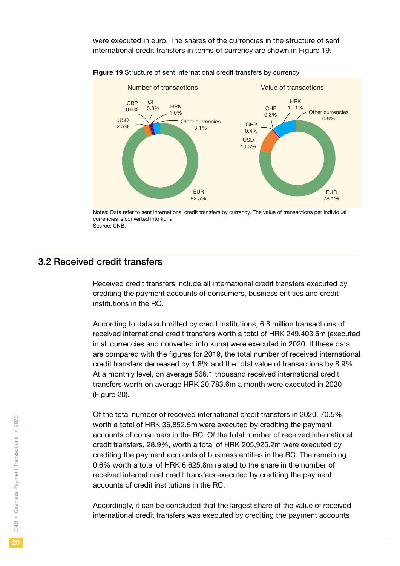<span id="page-19-0"></span>were executed in euro. The shares of the currencies in the structure of sent international credit transfers in terms of currency are shown in Figure 19.





Notes: Data refer to sent international credit transfers by currency. The value of transactions per individual currencies is converted into kuna. Source: CNB.

## 3.2 Received credit transfers

Received credit transfers include all international credit transfers executed by crediting the payment accounts of consumers, business entities and credit institutions in the RC.

According to data submitted by credit institutions, 6.8 million transactions of received international credit transfers worth a total of HRK 249,403.5m (executed in all currencies and converted into kuna) were executed in 2020. If these data are compared with the figures for 2019, the total number of received international credit transfers decreased by 1.8% and the total value of transactions by 8.9%. At a monthly level, on average 566.1 thousand received international credit transfers worth on average HRK 20,783.6m a month were executed in 2020 (Figure 20).

Of the total number of received international credit transfers in 2020, 70.5%, worth a total of HRK 36,852.5m were executed by crediting the payment accounts of consumers in the RC. Of the total number of received international credit transfers, 28.9%, worth a total of HRK 205,925.2m were executed by crediting the payment accounts of business entities in the RC. The remaining 0.6% worth a total of HRK 6,625.8m related to the share in the number of received international credit transfers executed by crediting the payment accounts of credit institutions in the RC.

Accordingly, it can be concluded that the largest share of the value of received international credit transfers was executed by crediting the payment accounts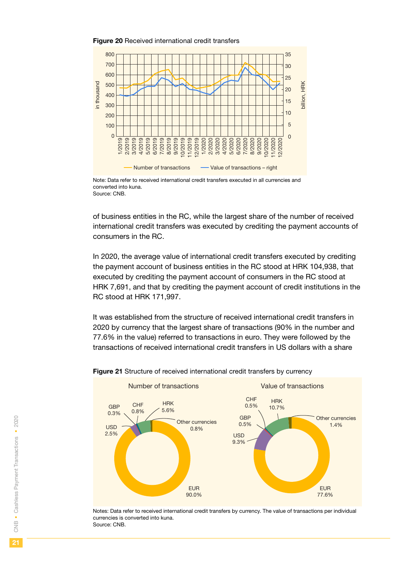#### Figure 20 Received international credit transfers



Note: Data refer to received international credit transfers executed in all currencies and converted into kuna. Source: CNB.

of business entities in the RC, while the largest share of the number of received international credit transfers was executed by crediting the payment accounts of consumers in the RC.

In 2020, the average value of international credit transfers executed by crediting the payment account of business entities in the RC stood at HRK 104,938, that executed by crediting the payment account of consumers in the RC stood at HRK 7,691, and that by crediting the payment account of credit institutions in the RC stood at HRK 171,997.

It was established from the structure of received international credit transfers in 2020 by currency that the largest share of transactions (90% in the number and 77.6% in the value) referred to transactions in euro. They were followed by the transactions of received international credit transfers in US dollars with a share



Figure 21 Structure of received international credit transfers by currency

Notes: Data refer to received international credit transfers by currency. The value of transactions per individual currencies is converted into kuna. Source: CNB.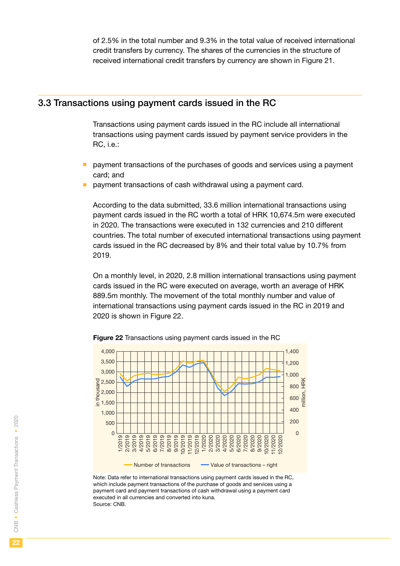<span id="page-21-0"></span>of 2.5% in the total number and 9.3% in the total value of received international credit transfers by currency. The shares of the currencies in the structure of received international credit transfers by currency are shown in Figure 21.

#### 3.3 Transactions using payment cards issued in the RC

Transactions using payment cards issued in the RC include all international transactions using payment cards issued by payment service providers in the RC, i.e.:

- payment transactions of the purchases of goods and services using a payment card; and
- payment transactions of cash withdrawal using a payment card.

According to the data submitted, 33.6 million international transactions using payment cards issued in the RC worth a total of HRK 10,674.5m were executed in 2020. The transactions were executed in 132 currencies and 210 different countries. The total number of executed international transactions using payment cards issued in the RC decreased by 8% and their total value by 10.7% from 2019.

On a monthly level, in 2020, 2.8 million international transactions using payment cards issued in the RC were executed on average, worth an average of HRK 889.5m monthly. The movement of the total monthly number and value of international transactions using payment cards issued in the RC in 2019 and 2020 is shown in Figure 22.



Figure 22 Transactions using payment cards issued in the RC

Note: Data refer to international transactions using payment cards issued in the RC, which include payment transactions of the purchase of goods and services using a payment card and payment transactions of cash withdrawal using a payment card executed in all currencies and converted into kuna. Source: CNB.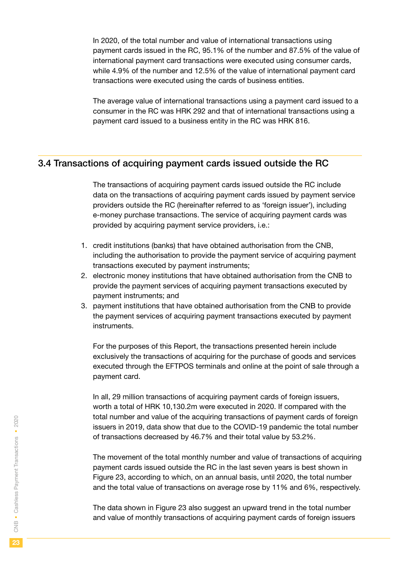<span id="page-22-0"></span>In 2020, of the total number and value of international transactions using payment cards issued in the RC, 95.1% of the number and 87.5% of the value of international payment card transactions were executed using consumer cards, while 4.9% of the number and 12.5% of the value of international payment card transactions were executed using the cards of business entities.

The average value of international transactions using a payment card issued to a consumer in the RC was HRK 292 and that of international transactions using a payment card issued to a business entity in the RC was HRK 816.

## 3.4 Transactions of acquiring payment cards issued outside the RC

The transactions of acquiring payment cards issued outside the RC include data on the transactions of acquiring payment cards issued by payment service providers outside the RC (hereinafter referred to as 'foreign issuer'), including e-money purchase transactions. The service of acquiring payment cards was provided by acquiring payment service providers, i.e.:

- 1. credit institutions (banks) that have obtained authorisation from the CNB, including the authorisation to provide the payment service of acquiring payment transactions executed by payment instruments;
- 2. electronic money institutions that have obtained authorisation from the CNB to provide the payment services of acquiring payment transactions executed by payment instruments; and
- 3. payment institutions that have obtained authorisation from the CNB to provide the payment services of acquiring payment transactions executed by payment instruments.

For the purposes of this Report, the transactions presented herein include exclusively the transactions of acquiring for the purchase of goods and services executed through the EFTPOS terminals and online at the point of sale through a payment card.

In all, 29 million transactions of acquiring payment cards of foreign issuers, worth a total of HRK 10,130.2m were executed in 2020. If compared with the total number and value of the acquiring transactions of payment cards of foreign issuers in 2019, data show that due to the COVID-19 pandemic the total number of transactions decreased by 46.7% and their total value by 53.2%.

The movement of the total monthly number and value of transactions of acquiring payment cards issued outside the RC in the last seven years is best shown in Figure 23, according to which, on an annual basis, until 2020, the total number and the total value of transactions on average rose by 11% and 6%, respectively.

The data shown in Figure 23 also suggest an upward trend in the total number and value of monthly transactions of acquiring payment cards of foreign issuers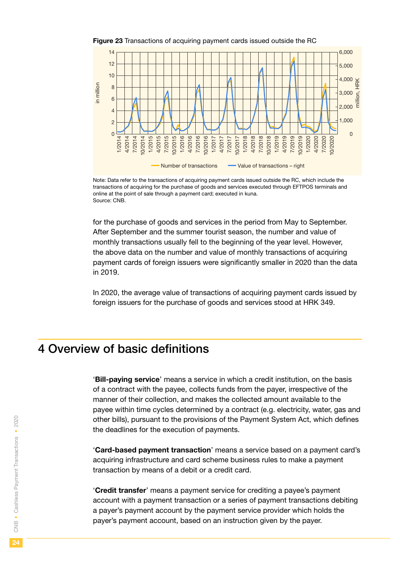<span id="page-23-0"></span>





for the purchase of goods and services in the period from May to September. After September and the summer tourist season, the number and value of monthly transactions usually fell to the beginning of the year level. However, the above data on the number and value of monthly transactions of acquiring payment cards of foreign issuers were significantly smaller in 2020 than the data in 2019.

In 2020, the average value of transactions of acquiring payment cards issued by foreign issuers for the purchase of goods and services stood at HRK 349.

## 4 Overview of basic definitions

'Bill-paying service' means a service in which a credit institution, on the basis of a contract with the payee, collects funds from the payer, irrespective of the manner of their collection, and makes the collected amount available to the payee within time cycles determined by a contract (e.g. electricity, water, gas and other bills), pursuant to the provisions of the Payment System Act, which defines the deadlines for the execution of payments.

'Card-based payment transaction' means a service based on a payment card's acquiring infrastructure and card scheme business rules to make a payment transaction by means of a debit or a credit card.

'Credit transfer' means a payment service for crediting a payee's payment account with a payment transaction or a series of payment transactions debiting a payer's payment account by the payment service provider which holds the payer's payment account, based on an instruction given by the payer.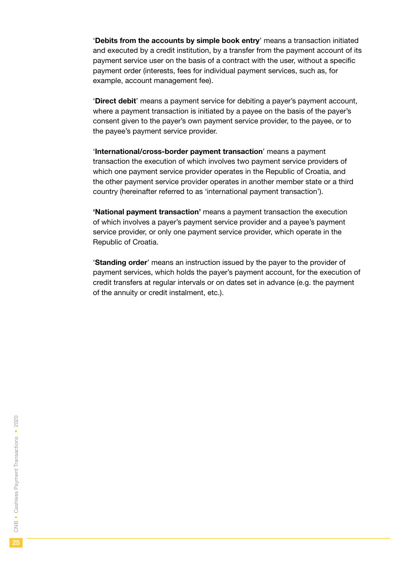'Debits from the accounts by simple book entry' means a transaction initiated and executed by a credit institution, by a transfer from the payment account of its payment service user on the basis of a contract with the user, without a specific payment order (interests, fees for individual payment services, such as, for example, account management fee).

'Direct debit' means a payment service for debiting a payer's payment account, where a payment transaction is initiated by a payee on the basis of the payer's consent given to the payer's own payment service provider, to the payee, or to the payee's payment service provider.

'International/cross-border payment transaction' means a payment transaction the execution of which involves two payment service providers of which one payment service provider operates in the Republic of Croatia, and the other payment service provider operates in another member state or a third country (hereinafter referred to as 'international payment transaction').

'National payment transaction' means a payment transaction the execution of which involves a payer's payment service provider and a payee's payment service provider, or only one payment service provider, which operate in the Republic of Croatia.

'Standing order' means an instruction issued by the payer to the provider of payment services, which holds the payer's payment account, for the execution of credit transfers at regular intervals or on dates set in advance (e.g. the payment of the annuity or credit instalment, etc.).